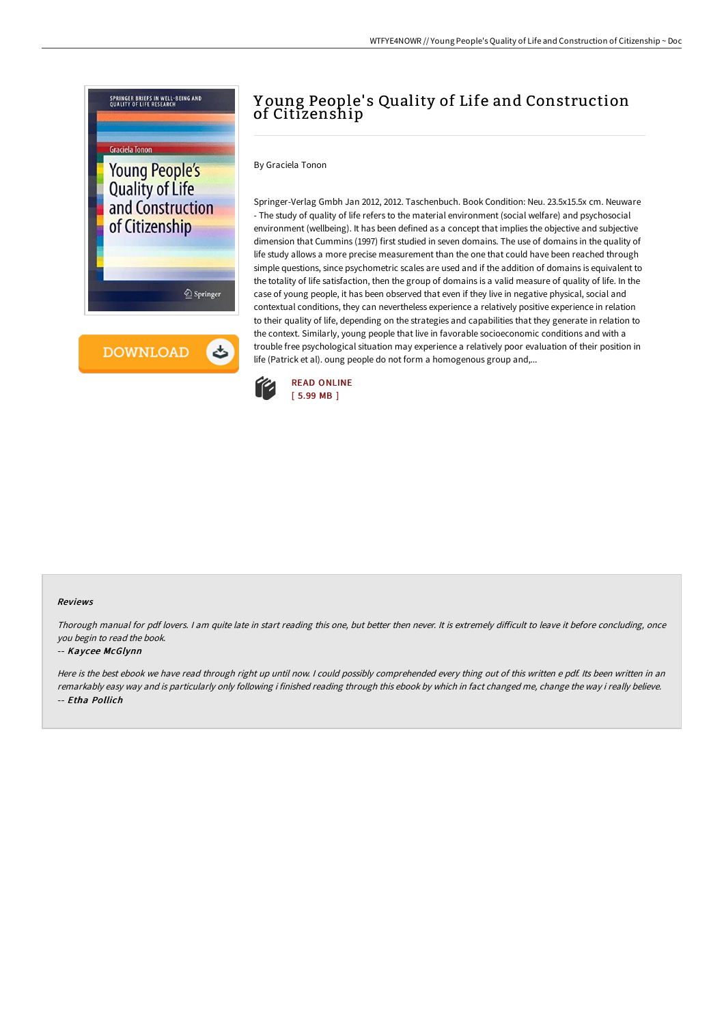

# Young People's Quality of Life and Construction of Citizenship

## By Graciela Tonon

Springer-Verlag Gmbh Jan 2012, 2012. Taschenbuch. Book Condition: Neu. 23.5x15.5x cm. Neuware - The study of quality of life refers to the material environment (social welfare) and psychosocial environment (wellbeing). It has been defined as a concept that implies the objective and subjective dimension that Cummins (1997) first studied in seven domains. The use of domains in the quality of life study allows a more precise measurement than the one that could have been reached through simple questions, since psychometric scales are used and if the addition of domains is equivalent to the totality of life satisfaction, then the group of domains is a valid measure of quality of life. In the case of young people, it has been observed that even if they live in negative physical, social and contextual conditions, they can nevertheless experience a relatively positive experience in relation to their quality of life, depending on the strategies and capabilities that they generate in relation to the context. Similarly, young people that live in favorable socioeconomic conditions and with a trouble free psychological situation may experience a relatively poor evaluation of their position in life (Patrick et al). oung people do not form a homogenous group and,...



### Reviews

Thorough manual for pdf lovers. I am quite late in start reading this one, but better then never. It is extremely difficult to leave it before concluding, once you begin to read the book.

#### -- Kaycee McGlynn

Here is the best ebook we have read through right up until now. I could possibly comprehended every thing out of this written e pdf. Its been written in an remarkably easy way and is particularly only following i finished reading through this ebook by which in fact changed me, change the way i really believe. -- Etha Pollich